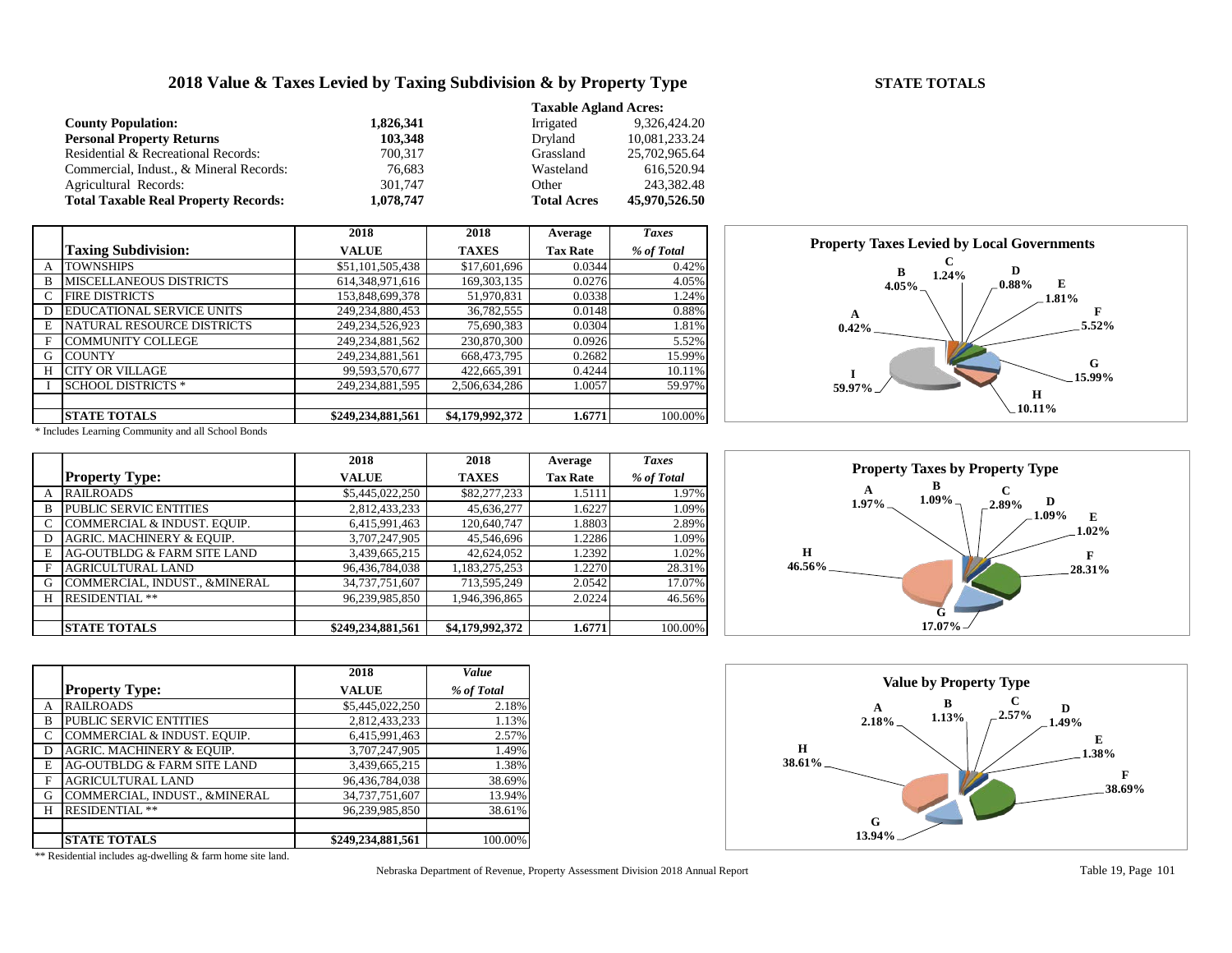## **2018 Value & Taxes Levied by Taxing Subdivision & by Property Type STATE TOTALS**

#### **Taxable Agland Acres: County Population: 1,826,341** Irrigated 9,326,424.20<br> **Personal Property Returns 103,348** Dryland 10,081,233.24 **Personal Property Returns 103,348** Dryland 10,081,233.24<br>Residential & Recreational Records: <br>700,317 Grassland 25,702,965.64 Residential & Recreational Records: Commercial, Indust., & Mineral Records: 76,683 Wasteland 616,520.94 Agricultural Records: 301,747 Other 243,382.48<br> **1,078,747 Total Acres 45,970,526.50** Other 243,382.48<br> **1,078,747 Total Acres 45,970,526.50 Total Taxable Real Property Records: 1,078,747 Total Acres**

|   |                                  | 2018               | 2018            | Average         | <b>Taxes</b> |
|---|----------------------------------|--------------------|-----------------|-----------------|--------------|
|   | <b>Taxing Subdivision:</b>       | <b>VALUE</b>       | <b>TAXES</b>    | <b>Tax Rate</b> | % of Total   |
| A | <b>TOWNSHIPS</b>                 | \$51,101,505,438   | \$17,601,696    | 0.0344          | 0.42%        |
| B | MISCELLANEOUS DISTRICTS          | 614,348,971,616    | 169, 303, 135   | 0.0276          | 4.05%        |
| C | <b>FIRE DISTRICTS</b>            | 153,848,699,378    | 51,970,831      | 0.0338          | 1.24%        |
| D | <b>EDUCATIONAL SERVICE UNITS</b> | 249,234,880,453    | 36,782,555      | 0.0148          | 0.88%        |
| E | NATURAL RESOURCE DISTRICTS       | 249,234,526,923    | 75,690,383      | 0.0304          | 1.81%        |
| F | <b>COMMUNITY COLLEGE</b>         | 249, 234, 881, 562 | 230,870,300     | 0.0926          | 5.52%        |
| G | <b>COUNTY</b>                    | 249, 234, 881, 561 | 668,473,795     | 0.2682          | 15.99%       |
| H | <b>CITY OR VILLAGE</b>           | 99,593,570,677     | 422,665,391     | 0.4244          | 10.11%       |
|   | <b>SCHOOL DISTRICTS *</b>        | 249.234.881.595    | 2,506,634,286   | 1.0057          | 59.97%       |
|   |                                  |                    |                 |                 |              |
|   | <b> STATE TOTALS</b>             | \$249,234,881,561  | \$4,179,992,372 | 1.6771          | 100.00%      |

**A 0.42% B 4.05% C**  $1.24\%$  **D 0.88% E 1.81% F 5.52% G 15.99% H 10.11% I 59.97% Property Taxes Levied by Local Governments**

\* Includes Learning Community and all School Bonds

|   |                               | 2018              | 2018            | Average         | <b>Taxes</b> |
|---|-------------------------------|-------------------|-----------------|-----------------|--------------|
|   | <b>Property Type:</b>         | <b>VALUE</b>      | <b>TAXES</b>    | <b>Tax Rate</b> | % of Total   |
| A | <b>RAILROADS</b>              | \$5,445,022,250   | \$82,277,233    | 1.5111          | 1.97%        |
| B | <b>PUBLIC SERVIC ENTITIES</b> | 2,812,433,233     | 45,636,277      | 1.6227          | 1.09%        |
|   | COMMERCIAL & INDUST. EQUIP.   | 6,415,991,463     | 120,640,747     | 1.8803          | 2.89%        |
| D | AGRIC. MACHINERY & EQUIP.     | 3,707,247,905     | 45,546,696      | 1.2286          | 1.09%        |
| E | AG-OUTBLDG & FARM SITE LAND   | 3,439,665,215     | 42,624,052      | 1.2392          | 1.02%        |
| F | <b>AGRICULTURAL LAND</b>      | 96,436,784,038    | 1,183,275,253   | 1.2270          | 28.31%       |
| G | COMMERCIAL, INDUST., &MINERAL | 34,737,751,607    | 713,595,249     | 2.0542          | 17.07%       |
| H | <b>RESIDENTIAL **</b>         | 96,239,985,850    | 1,946,396,865   | 2.0224          | 46.56%       |
|   |                               |                   |                 |                 |              |
|   | <b>STATE TOTALS</b>           | \$249,234,881,561 | \$4,179,992,372 | 1.6771          | 100.00%      |

|   |                               | 2018              | Value      |
|---|-------------------------------|-------------------|------------|
|   | <b>Property Type:</b>         | <b>VALUE</b>      | % of Total |
| A | <b>RAILROADS</b>              | \$5,445,022,250   | 2.18%      |
| B | PUBLIC SERVIC ENTITIES        | 2,812,433,233     | 1.13%      |
| C | COMMERCIAL & INDUST. EQUIP.   | 6,415,991,463     | 2.57%      |
| D | AGRIC. MACHINERY & EQUIP.     | 3,707,247,905     | 1.49%      |
| E | AG-OUTBLDG & FARM SITE LAND   | 3,439,665,215     | 1.38%      |
| F | AGRICULTURAL LAND             | 96,436,784,038    | 38.69%     |
| G | COMMERCIAL, INDUST., &MINERAL | 34,737,751,607    | 13.94%     |
| H | <b>RESIDENTIAL **</b>         | 96,239,985,850    | 38.61%     |
|   |                               |                   |            |
|   | <b>STATE TOTALS</b>           | \$249,234,881,561 | 100.00%    |

Nebraska Department of Revenue, Property Assessment Division 2018 Annual Report Table 19, Page 101





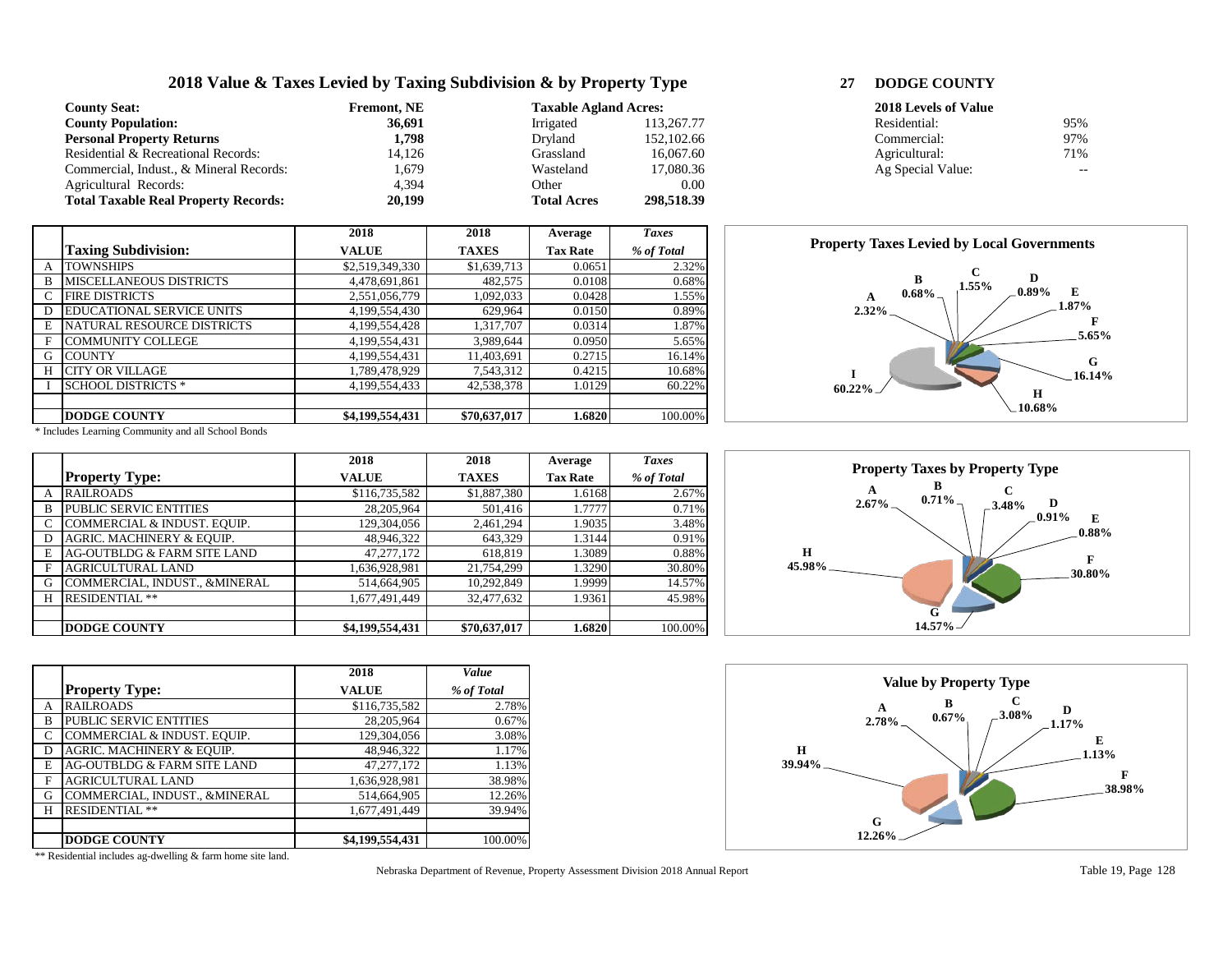# **2018 Value & Taxes Levied by Taxing Subdivision & by Property Type 27 DODGE COUNTY**

| <b>County Seat:</b>                         | <b>Fremont. NE</b> | <b>Taxable Agland Acres:</b> |            | 2018 Levels of Value |     |
|---------------------------------------------|--------------------|------------------------------|------------|----------------------|-----|
| <b>County Population:</b>                   | 36,691             | Irrigated                    | 113.267.77 | Residential:         | 95% |
| <b>Personal Property Returns</b>            | 1.798              | Dryland                      | 152,102.66 | Commercial:          | 97% |
| Residential & Recreational Records:         | 14.126             | Grassland                    | 16,067.60  | Agricultural:        | 71% |
| Commercial, Indust., & Mineral Records:     | . .679             | Wasteland                    | 17.080.36  | Ag Special Value:    | --  |
| Agricultural Records:                       | 4.394              | Other                        | 0.00       |                      |     |
| <b>Total Taxable Real Property Records:</b> | 20,199             | <b>Total Acres</b>           | 298,518.39 |                      |     |

|   |                                   | 2018            | 2018         | Average         | <b>Taxes</b> |
|---|-----------------------------------|-----------------|--------------|-----------------|--------------|
|   | <b>Taxing Subdivision:</b>        | <b>VALUE</b>    | <b>TAXES</b> | <b>Tax Rate</b> | % of Total   |
| А | <b>TOWNSHIPS</b>                  | \$2,519,349,330 | \$1,639,713  | 0.0651          | 2.32%        |
| B | <b>MISCELLANEOUS DISTRICTS</b>    | 4,478,691,861   | 482,575      | 0.0108          | 0.68%        |
| C | <b>FIRE DISTRICTS</b>             | 2,551,056,779   | 1,092,033    | 0.0428          | 1.55%        |
| D | <b>EDUCATIONAL SERVICE UNITS</b>  | 4,199,554,430   | 629.964      | 0.0150          | 0.89%        |
| E | <b>NATURAL RESOURCE DISTRICTS</b> | 4,199,554,428   | 1,317,707    | 0.0314          | 1.87%        |
| F | <b>COMMUNITY COLLEGE</b>          | 4,199,554,431   | 3,989,644    | 0.0950          | 5.65%        |
| G | <b>COUNTY</b>                     | 4,199,554,431   | 11,403,691   | 0.2715          | 16.14%       |
| Н | <b>CITY OR VILLAGE</b>            | 1,789,478,929   | 7,543,312    | 0.4215          | 10.68%       |
|   | <b>SCHOOL DISTRICTS *</b>         | 4,199,554,433   | 42,538,378   | 1.0129          | 60.22%       |
|   |                                   |                 |              |                 |              |
|   | <b>DODGE COUNTY</b>               | \$4,199,554,431 | \$70,637,017 | 1.6820          | 100.00%      |

| <b>2018 Levels of Value</b> |     |
|-----------------------------|-----|
| Residential:                | 95% |
| Commercial:                 | 97% |
| Agricultural:               | 71% |
| Ag Special Value:           |     |



\* Includes Learning Community and all School Bonds

|   |                               | 2018            | 2018         | Average         | <b>Taxes</b> |
|---|-------------------------------|-----------------|--------------|-----------------|--------------|
|   | <b>Property Type:</b>         | <b>VALUE</b>    | <b>TAXES</b> | <b>Tax Rate</b> | % of Total   |
| A | <b>RAILROADS</b>              | \$116,735,582   | \$1,887,380  | 1.6168          | 2.67%        |
| B | PUBLIC SERVIC ENTITIES        | 28,205,964      | 501,416      | 1.7777          | 0.71%        |
|   | COMMERCIAL & INDUST. EQUIP.   | 129,304,056     | 2,461,294    | 1.9035          | 3.48%        |
|   | AGRIC. MACHINERY & EQUIP.     | 48,946,322      | 643,329      | 1.3144          | 0.91%        |
| E | AG-OUTBLDG & FARM SITE LAND   | 47, 277, 172    | 618,819      | 1.3089          | 0.88%        |
| F | <b>AGRICULTURAL LAND</b>      | 1,636,928,981   | 21,754,299   | 1.3290          | 30.80%       |
| G | COMMERCIAL, INDUST., &MINERAL | 514,664,905     | 10,292,849   | 1.9999          | 14.57%       |
| Н | <b>RESIDENTIAL **</b>         | 1,677,491,449   | 32,477,632   | 1.9361          | 45.98%       |
|   |                               |                 |              |                 |              |
|   | <b>DODGE COUNTY</b>           | \$4,199,554,431 | \$70,637,017 | 1.6820          | 100.00%      |

|   |                               | 2018            | Value      |
|---|-------------------------------|-----------------|------------|
|   | <b>Property Type:</b>         | <b>VALUE</b>    | % of Total |
| А | <b>RAILROADS</b>              | \$116,735,582   | 2.78%      |
| B | <b>PUBLIC SERVIC ENTITIES</b> | 28,205,964      | 0.67%      |
| C | COMMERCIAL & INDUST. EQUIP.   | 129,304,056     | 3.08%      |
| D | AGRIC. MACHINERY & EQUIP.     | 48,946,322      | 1.17%      |
| E | AG-OUTBLDG & FARM SITE LAND   | 47, 277, 172    | 1.13%      |
| F | <b>AGRICULTURAL LAND</b>      | 1,636,928,981   | 38.98%     |
| G | COMMERCIAL, INDUST., &MINERAL | 514,664,905     | 12.26%     |
| Н | <b>RESIDENTIAL **</b>         | 1,677,491,449   | 39.94%     |
|   |                               |                 |            |
|   | <b>DODGE COUNTY</b>           | \$4,199,554,431 | 100.00%    |

Nebraska Department of Revenue, Property Assessment Division 2018 Annual Report Table 19, Page 128



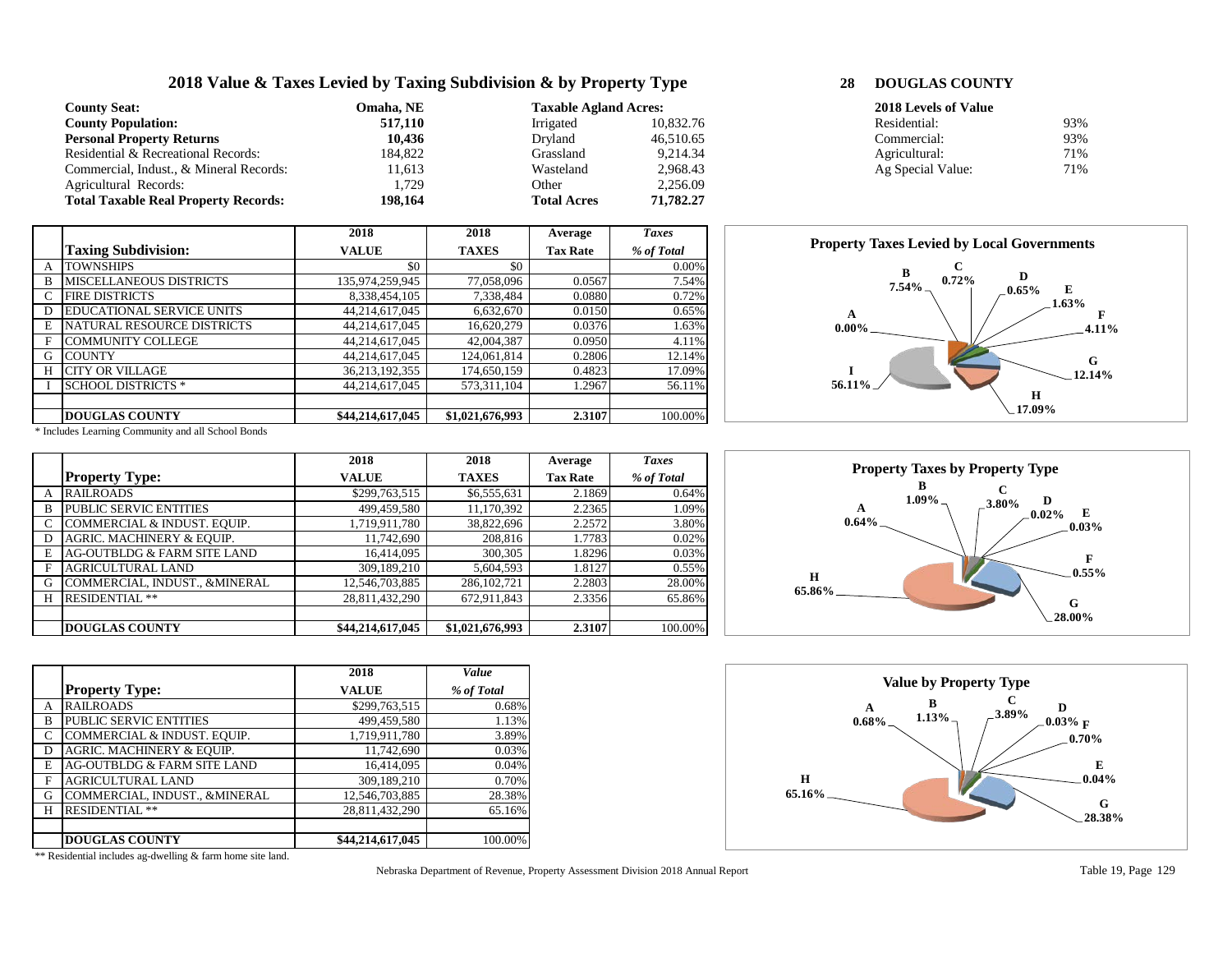## **2018 Value & Taxes Levied by Taxing Subdivision & by Property Type 28 DOUGLAS COU**

**2018 2018 Average** *Taxes*

| <b>County Seat:</b>                         | Omaha. NE | <b>Taxable Agland Acres:</b> |           | 2018 Levels of Value |     |
|---------------------------------------------|-----------|------------------------------|-----------|----------------------|-----|
| <b>County Population:</b>                   | 517,110   | Irrigated                    | 10.832.76 | Residential:         | 93% |
| <b>Personal Property Returns</b>            | 10,436    | Dryland                      | 46,510.65 | Commercial:          | 93% |
| Residential & Recreational Records:         | 184,822   | Grassland                    | 9,214.34  | Agricultural:        | 71% |
| Commercial, Indust., & Mineral Records:     | 11,613    | Wasteland                    | 2,968.43  | Ag Special Value:    | 71% |
| Agricultural Records:                       | .729      | Other                        | 2,256.09  |                      |     |
| <b>Total Taxable Real Property Records:</b> | 198,164   | <b>Total Acres</b>           | 71,782,27 |                      |     |

**Taxing Subdivision: VALUE TAXES Tax Rate** *% of Total* A TOWNSHIPS \$0 \$0 \$0 0.00%<br>B MISCELLANEOUS DISTRICTS 135,974,259,945 77,058,096 0.0567 7.54% MISCELLANEOUS DISTRICTS 135,974,259,945 77,058,096 0.0567 7.54%<br>FIRE DISTRICTS 8,338,454,105 7,338,484 0.0880 0.72% C FIRE DISTRICTS 8,338,454,105 7,338,484 0.0880 0.72%<br>D EDUCATIONAL SERVICE UNITS 44,214,617,045 6,632,670 0.0150 0.65%

E NATURAL RESOURCE DISTRICTS 44,214,617,045 16,620,279 0.0376 1.63%<br>F COMMUNITY COLLEGE 44,214,617,045 42,004,387 0.0950 4.11%

G COUNTY 44,214,617,045 124,061,814 0.2806 12.14%<br>H CITY OR VILLAGE 36,213,192,355 174,650,159 0.4823 17.09%

I SCHOOL DISTRICTS \* 144,214,617,045 573,311,104 1.2967 56.11%

**DOUGLAS COUNTY \$44,214,617,045 \$1,021,676,993 2.3107** 100.00%

D EDUCATIONAL SERVICE UNITS 44,214,617,045 6,632,670 0.0150<br>E NATURAL RESOURCE DISTRICTS 44,214,617,045 16,620,279 0.0376

| DOUGLAS COUNTY |  |  |
|----------------|--|--|

| 2018 Levels of Value |     |
|----------------------|-----|
| Residential:         | 93% |
| Commercial:          | 93% |
| Agricultural:        | 71% |
| Ag Special Value:    | 71% |



\* Includes Learning Community and all School Bonds

F COMMUNITY COLLEGE

CITY OR VILLAGE

|   |                               | 2018             | 2018            | Average         | <b>Taxes</b> |
|---|-------------------------------|------------------|-----------------|-----------------|--------------|
|   | <b>Property Type:</b>         | <b>VALUE</b>     | <b>TAXES</b>    | <b>Tax Rate</b> | % of Total   |
| A | <b>RAILROADS</b>              | \$299,763,515    | \$6,555,631     | 2.1869          | 0.64%        |
| B | <b>PUBLIC SERVIC ENTITIES</b> | 499,459,580      | 11,170,392      | 2.2365          | 1.09%        |
|   | COMMERCIAL & INDUST. EQUIP.   | 1,719,911,780    | 38,822,696      | 2.2572          | 3.80%        |
| D | AGRIC. MACHINERY & EQUIP.     | 11,742,690       | 208,816         | 1.7783          | 0.02%        |
| E | AG-OUTBLDG & FARM SITE LAND   | 16,414,095       | 300,305         | 1.8296          | 0.03%        |
| F | <b>AGRICULTURAL LAND</b>      | 309,189,210      | 5,604,593       | 1.8127          | 0.55%        |
| G | COMMERCIAL, INDUST., &MINERAL | 12,546,703,885   | 286, 102, 721   | 2.2803          | 28.00%       |
| Н | <b>RESIDENTIAL **</b>         | 28.811.432.290   | 672,911,843     | 2.3356          | 65.86%       |
|   |                               |                  |                 |                 |              |
|   | <b>DOUGLAS COUNTY</b>         | \$44,214,617,045 | \$1,021,676,993 | 2.3107          | 100.00%      |

|   |                               | 2018             | Value      |
|---|-------------------------------|------------------|------------|
|   | <b>Property Type:</b>         | <b>VALUE</b>     | % of Total |
| А | <b>RAILROADS</b>              | \$299,763,515    | 0.68%      |
| B | <b>PUBLIC SERVIC ENTITIES</b> | 499,459,580      | 1.13%      |
| C | COMMERCIAL & INDUST. EQUIP.   | 1,719,911,780    | 3.89%      |
| D | AGRIC. MACHINERY & EQUIP.     | 11,742,690       | 0.03%      |
| E | AG-OUTBLDG & FARM SITE LAND   | 16,414,095       | 0.04%      |
| F | <b>AGRICULTURAL LAND</b>      | 309,189,210      | 0.70%      |
| G | COMMERCIAL, INDUST., &MINERAL | 12,546,703,885   | 28.38%     |
| Н | <b>RESIDENTIAL **</b>         | 28,811,432,290   | 65.16%     |
|   |                               |                  |            |
|   | <b>DOUGLAS COUNTY</b>         | \$44,214,617,045 | 100.00%    |

Nebraska Department of Revenue, Property Assessment Division 2018 Annual Report Table 19, Page 129



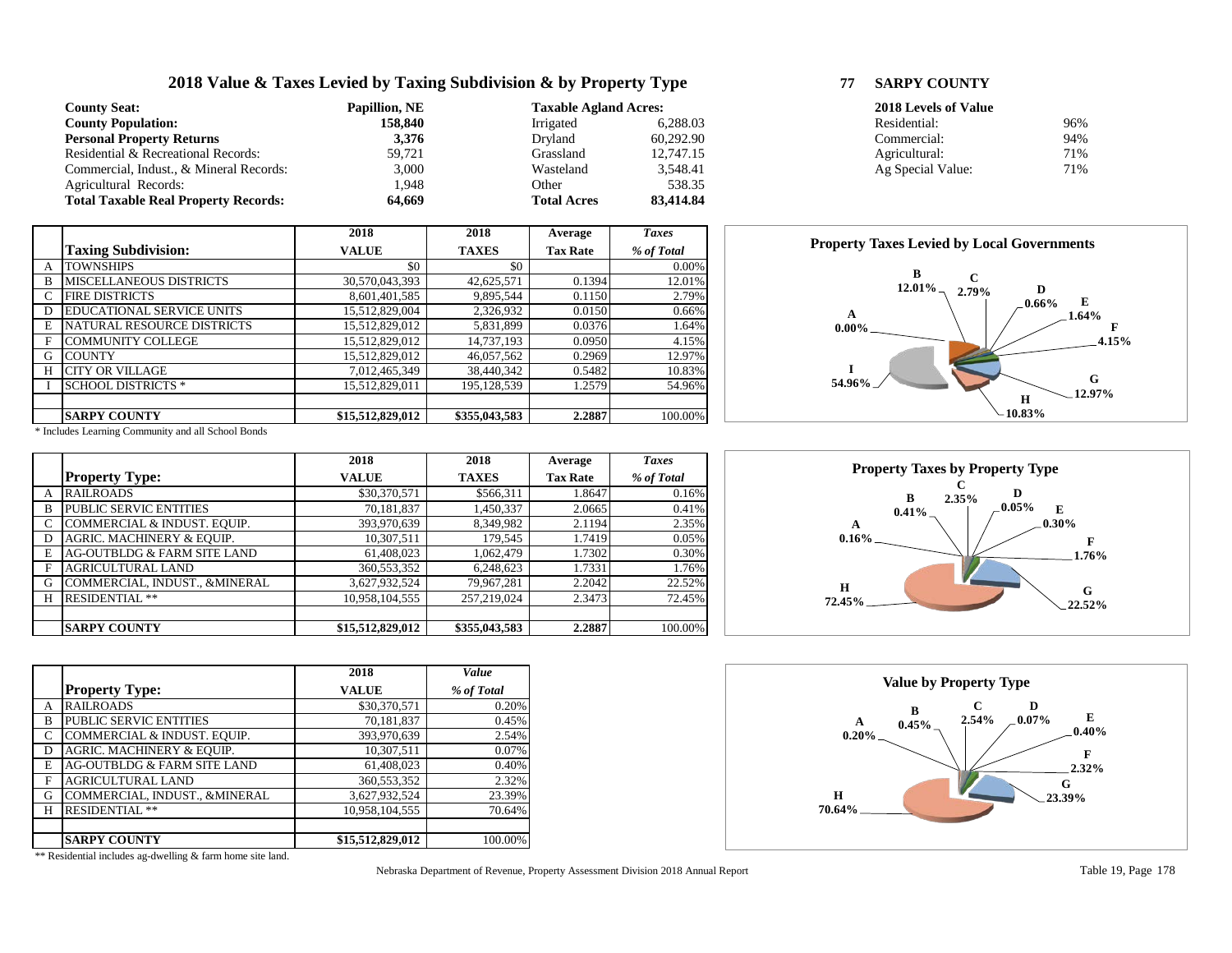## **2018 Value & Taxes Levied by Taxing Subdivision & by Property Type 77 SARPY COUNTY**

**2018 2018 Average** *Taxes*

| <b>County Seat:</b>                         | <b>Papillion, NE</b> | <b>Taxable Agland Acres:</b> |           | 2018 Levels of Value |     |  |
|---------------------------------------------|----------------------|------------------------------|-----------|----------------------|-----|--|
| <b>County Population:</b>                   | 158.840              | Irrigated                    | 6.288.03  | Residential:         | 96% |  |
| <b>Personal Property Returns</b>            | 3,376                | Dryland                      | 60.292.90 | Commercial:          | 94% |  |
| Residential & Recreational Records:         | 59.721               | Grassland                    | 12,747.15 | Agricultural:        | 71% |  |
| Commercial, Indust., & Mineral Records:     | 3,000                | Wasteland                    | 3,548.41  | Ag Special Value:    | 71% |  |
| Agricultural Records:                       | .948                 | Other                        | 538.35    |                      |     |  |
| <b>Total Taxable Real Property Records:</b> | 64.669               | <b>Total Acres</b>           | 83,414.84 |                      |     |  |

**Taxing Subdivision: VALUE TAXES Tax Rate** *% of Total* A TOWNSHIPS \$0 \$0 \$0 0.00%<br>B MISCELLANEOUS DISTRICTS 30,570,043,393 42,625,571 0.1394 12.01% B MISCELLANEOUS DISTRICTS 30,570,043,393 42,625,571 0.1394 12.01%<br>C FIRE DISTRICTS 3,601,401,585 9,895,544 0.1150 2.79%

D EDUCATIONAL SERVICE UNITS 15,512,829,004 2,326,932 0.0150 0.66% E NATURAL RESOURCE DISTRICTS 15,512,829,012 5,831,899 0.0376 1.64%<br>F COMMUNITY COLLEGE 15,512,829,012 14,737,193 0.0950 4.15%

G COUNTY 15,512,829,012 46,057,562 0.2969 12.97%<br>H CITY OR VILLAGE 7.012.465.349 38.440.342 0.5482 10.83%

I SCHOOL DISTRICTS \* 15,512,829,011 195,128,539 1.2579 54.96%

**SARPY COUNTY \$15,512,829,012 \$355,043,583 2.2887** 100.00%

|  | <b>SARPY COUNTY</b> |
|--|---------------------|

| 2018 Levels of Value |     |
|----------------------|-----|
| Residential:         | 96% |
| Commercial:          | 94% |
| Agricultural:        | 71% |
| Ag Special Value:    | 71% |



\* Includes Learning Community and all School Bonds

H CITY OR VILLAGE 7,012,465,349

C FIRE DISTRICTS

F COMMUNITY COLLEGE

|   |                               | 2018             | 2018          | Average         | <b>Taxes</b> |
|---|-------------------------------|------------------|---------------|-----------------|--------------|
|   | <b>Property Type:</b>         | <b>VALUE</b>     | <b>TAXES</b>  | <b>Tax Rate</b> | % of Total   |
| A | <b>RAILROADS</b>              | \$30,370,571     | \$566,311     | 1.8647          | 0.16%        |
| B | PUBLIC SERVIC ENTITIES        | 70,181,837       | 1,450,337     | 2.0665          | 0.41%        |
| C | COMMERCIAL & INDUST. EQUIP.   | 393,970,639      | 8,349,982     | 2.1194          | 2.35%        |
| D | AGRIC. MACHINERY & EQUIP.     | 10,307,511       | 179,545       | 1.7419          | 0.05%        |
| E | AG-OUTBLDG & FARM SITE LAND   | 61,408,023       | 1,062,479     | 1.7302          | 0.30%        |
| F | AGRICULTURAL LAND             | 360,553,352      | 6,248,623     | 1.7331          | 1.76%        |
| G | COMMERCIAL, INDUST., &MINERAL | 3,627,932,524    | 79,967,281    | 2.2042          | 22.52%       |
| H | <b>RESIDENTIAL **</b>         | 10.958.104.555   | 257.219.024   | 2.3473          | 72.45%       |
|   |                               |                  |               |                 |              |
|   | <b> SARPY COUNTY</b>          | \$15,512,829,012 | \$355,043,583 | 2.2887          | 100.00%      |

|   |                               | 2018             | Value      |
|---|-------------------------------|------------------|------------|
|   | <b>Property Type:</b>         | <b>VALUE</b>     | % of Total |
| А | <b>RAILROADS</b>              | \$30,370,571     | 0.20%      |
| B | <b>PUBLIC SERVIC ENTITIES</b> | 70,181,837       | 0.45%      |
| C | COMMERCIAL & INDUST. EQUIP.   | 393,970,639      | 2.54%      |
| D | AGRIC. MACHINERY & EQUIP.     | 10,307,511       | 0.07%      |
| E | AG-OUTBLDG & FARM SITE LAND   | 61,408,023       | 0.40%      |
| F | <b>AGRICULTURAL LAND</b>      | 360,553,352      | 2.32%      |
| G | COMMERCIAL, INDUST., &MINERAL | 3,627,932,524    | 23.39%     |
| Н | <b>RESIDENTIAL **</b>         | 10,958,104,555   | 70.64%     |
|   |                               |                  |            |
|   | <b>SARPY COUNTY</b>           | \$15,512,829,012 | 100.00%    |



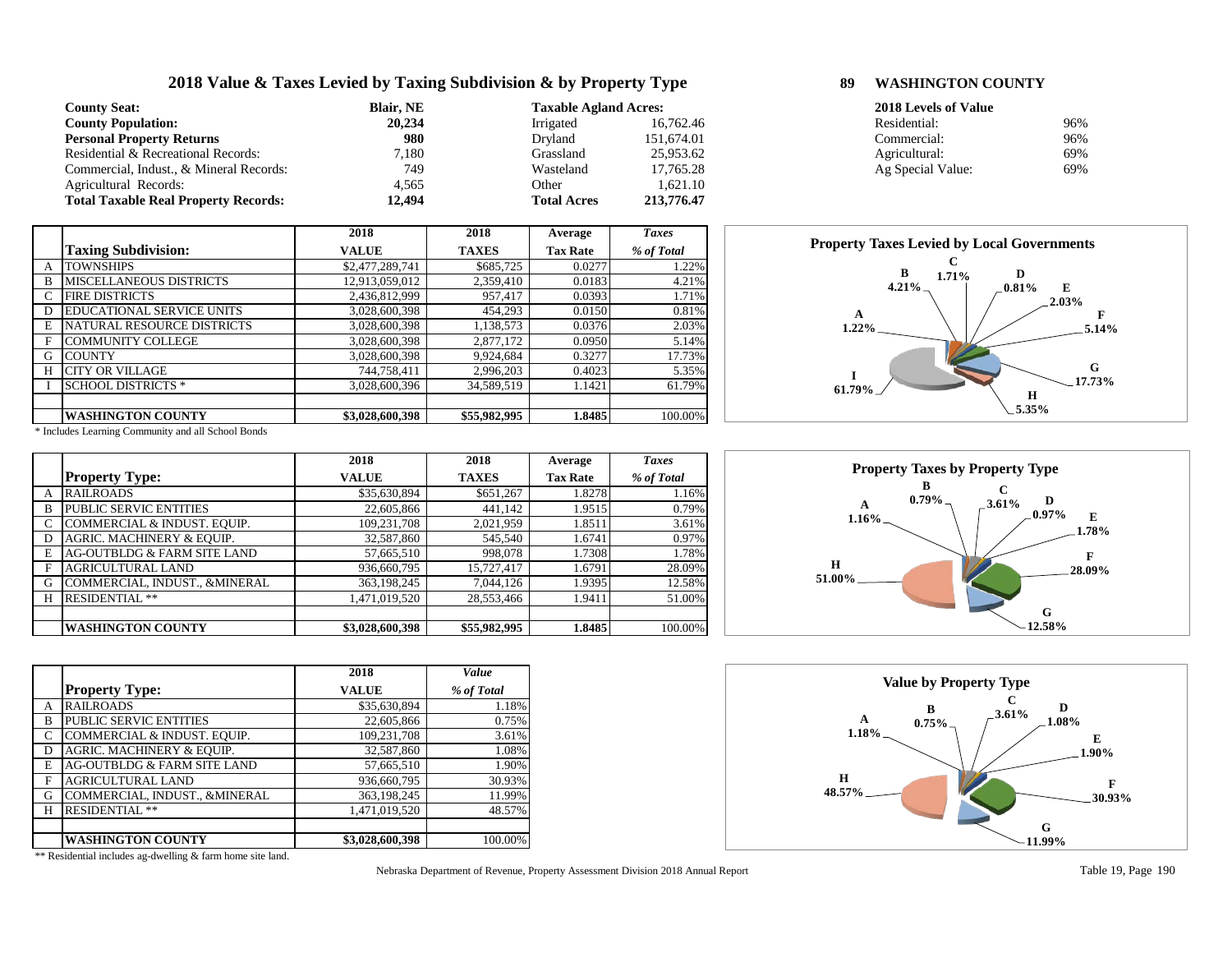# **2018 Value & Taxes Levied by Taxing Subdivision & by Property Type 89 WASHINGTON COUNTY**

| <b>County Seat:</b>                         | <b>Blair</b> , NE<br><b>Taxable Agland Acres:</b> |                    |            | 2018 Levels of Value |     |  |
|---------------------------------------------|---------------------------------------------------|--------------------|------------|----------------------|-----|--|
| <b>County Population:</b>                   | 20,234                                            | Irrigated          | 16.762.46  | Residential:         | 96% |  |
| <b>Personal Property Returns</b>            | 980                                               | Drvland            | 151,674.01 | Commercial:          | 96% |  |
| Residential & Recreational Records:         | .180                                              | Grassland          | 25,953.62  | Agricultural:        | 69% |  |
| Commercial, Indust., & Mineral Records:     | 749                                               | Wasteland          | 17.765.28  | Ag Special Value:    | 69% |  |
| Agricultural Records:                       | 4.565                                             | Other              | 1.621.10   |                      |     |  |
| <b>Total Taxable Real Property Records:</b> | 12,494                                            | <b>Total Acres</b> | 213,776.47 |                      |     |  |

|              |                                  | 2018            | 2018         | Average         | <b>Taxes</b> |
|--------------|----------------------------------|-----------------|--------------|-----------------|--------------|
|              | <b>Taxing Subdivision:</b>       | <b>VALUE</b>    | <b>TAXES</b> | <b>Tax Rate</b> | % of Total   |
| $\mathsf{A}$ | <b>TOWNSHIPS</b>                 | \$2,477,289,741 | \$685,725    | 0.0277          | 1.22%        |
| B            | <b>MISCELLANEOUS DISTRICTS</b>   | 12,913,059,012  | 2,359,410    | 0.0183          | 4.21%        |
| C            | <b>FIRE DISTRICTS</b>            | 2,436,812,999   | 957,417      | 0.0393          | 1.71%        |
| D            | <b>EDUCATIONAL SERVICE UNITS</b> | 3,028,600,398   | 454,293      | 0.0150          | 0.81%        |
| E            | NATURAL RESOURCE DISTRICTS       | 3,028,600,398   | 1,138,573    | 0.0376          | 2.03%        |
| F            | <b>COMMUNITY COLLEGE</b>         | 3,028,600,398   | 2,877,172    | 0.0950          | 5.14%        |
| G            | <b>COUNTY</b>                    | 3,028,600,398   | 9,924,684    | 0.3277          | 17.73%       |
| H            | <b>CITY OR VILLAGE</b>           | 744,758,411     | 2,996,203    | 0.4023          | 5.35%        |
|              | <b>SCHOOL DISTRICTS *</b>        | 3,028,600,396   | 34,589,519   | 1.1421          | 61.79%       |
|              |                                  |                 |              |                 |              |
|              | <b>WASHINGTON COUNTY</b>         | \$3,028,600,398 | \$55,982,995 | 1.8485          | 100.00%      |

\* Includes Learning Community and all School Bonds

|   |                                      | 2018            | 2018         | Average         | <b>Taxes</b> |
|---|--------------------------------------|-----------------|--------------|-----------------|--------------|
|   | <b>Property Type:</b>                | <b>VALUE</b>    | <b>TAXES</b> | <b>Tax Rate</b> | % of Total   |
| A | <b>RAILROADS</b>                     | \$35,630,894    | \$651,267    | 1.8278          | 1.16%        |
| B | <b>PUBLIC SERVIC ENTITIES</b>        | 22,605,866      | 441,142      | 1.9515          | 0.79%        |
|   | COMMERCIAL & INDUST. EQUIP.          | 109,231,708     | 2,021,959    | 1.8511          | 3.61%        |
| D | <b>AGRIC. MACHINERY &amp; EQUIP.</b> | 32,587,860      | 545,540      | 1.6741          | 0.97%        |
| E | AG-OUTBLDG & FARM SITE LAND          | 57,665,510      | 998,078      | 1.7308          | 1.78%        |
| F | <b>AGRICULTURAL LAND</b>             | 936,660,795     | 15,727,417   | 1.6791          | 28.09%       |
| G | COMMERCIAL, INDUST., &MINERAL        | 363,198,245     | 7,044,126    | 1.9395          | 12.58%       |
| H | <b>RESIDENTIAL **</b>                | 1,471,019,520   | 28,553,466   | 1.9411          | 51.00%       |
|   |                                      |                 |              |                 |              |
|   | <b>WASHINGTON COUNTY</b>             | \$3,028,600,398 | \$55,982,995 | 1.8485          | 100.00%      |

|   |                               | 2018            | Value      |
|---|-------------------------------|-----------------|------------|
|   | <b>Property Type:</b>         | <b>VALUE</b>    | % of Total |
| А | <b>RAILROADS</b>              | \$35,630,894    | 1.18%      |
| B | PUBLIC SERVIC ENTITIES        | 22,605,866      | 0.75%      |
| C | COMMERCIAL & INDUST. EQUIP.   | 109,231,708     | 3.61%      |
| D | AGRIC. MACHINERY & EQUIP.     | 32,587,860      | 1.08%      |
| E | AG-OUTBLDG & FARM SITE LAND   | 57,665,510      | 1.90%      |
| F | <b>AGRICULTURAL LAND</b>      | 936,660,795     | 30.93%     |
| G | COMMERCIAL, INDUST., &MINERAL | 363,198,245     | 11.99%     |
| н | <b>RESIDENTIAL **</b>         | 1,471,019,520   | 48.57%     |
|   |                               |                 |            |
|   | <b>WASHINGTON COUNTY</b>      | \$3,028,600,398 | 100.00%    |

Nebraska Department of Revenue, Property Assessment Division 2018 Annual Report Table 19, Page 190

| 2018 Levels of Value |     |
|----------------------|-----|
| Residential:         | 96% |
| Commercial:          | 96% |
| Agricultural:        | 69% |
| Ag Special Value:    | 69% |
|                      |     |